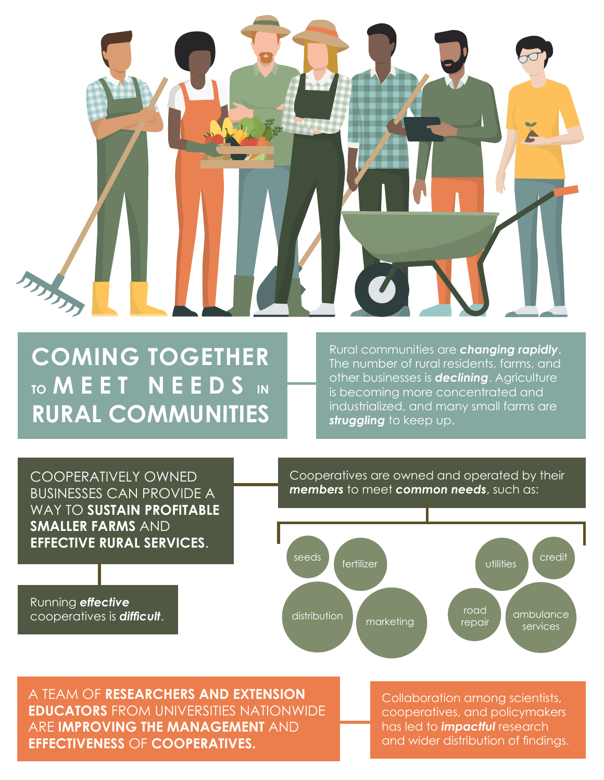

# **COMING TOGETHER TO MEET NEEDS IN RURAL COMMUNITIES**

Rural communities are *changing rapidly*. The number of rural residents, farms, and other businesses is *declining*. Agriculture is becoming more concentrated and industrialized, and many small farms are *struggling* to keep up.

COOPERATIVELY OWNED BUSINESSES CAN PROVIDE A WAY TO **SUSTAIN PROFITABLE SMALLER FARMS** AND **EFFECTIVE RURAL SERVICES**.

Running *effective* cooperatives is *difficult*. Cooperatives are owned and operated by their *members* to meet *common needs*, such as:



A TEAM OF **RESEARCHERS AND EXTENSION EDUCATORS** FROM UNIVERSITIES NATIONWIDE ARE **IMPROVING THE MANAGEMENT** AND **EFFECTIVENESS** OF **COOPERATIVES.**

Collaboration among scientists, cooperatives, and policymakers has led to *impactful* research and wider distribution of findings.